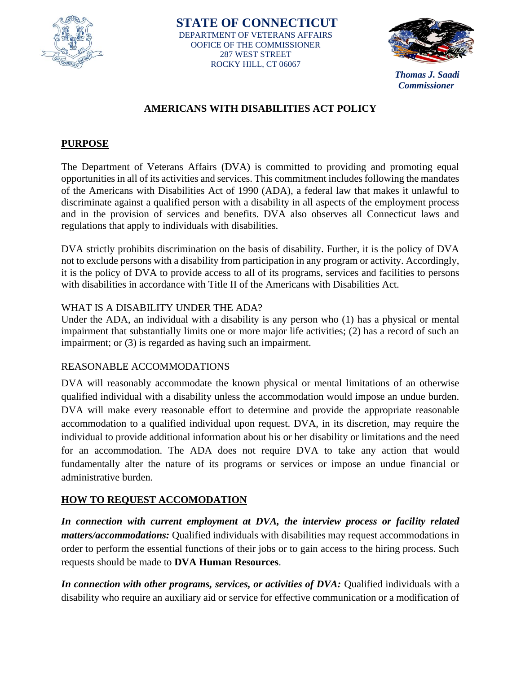



*Thomas J. Saadi Commissioner*

# **AMERICANS WITH DISABILITIES ACT POLICY**

# **PURPOSE**

The Department of Veterans Affairs (DVA) is committed to providing and promoting equal opportunities in all of its activities and services. This commitment includes following the mandates of the Americans with Disabilities Act of 1990 (ADA), a federal law that makes it unlawful to discriminate against a qualified person with a disability in all aspects of the employment process and in the provision of services and benefits. DVA also observes all Connecticut laws and regulations that apply to individuals with disabilities.

DVA strictly prohibits discrimination on the basis of disability. Further, it is the policy of DVA not to exclude persons with a disability from participation in any program or activity. Accordingly, it is the policy of DVA to provide access to all of its programs, services and facilities to persons with disabilities in accordance with Title II of the Americans with Disabilities Act.

# WHAT IS A DISABILITY UNDER THE ADA?

Under the ADA, an individual with a disability is any person who (1) has a physical or mental impairment that substantially limits one or more major life activities; (2) has a record of such an impairment; or (3) is regarded as having such an impairment.

#### REASONABLE ACCOMMODATIONS

DVA will reasonably accommodate the known physical or mental limitations of an otherwise qualified individual with a disability unless the accommodation would impose an undue burden. DVA will make every reasonable effort to determine and provide the appropriate reasonable accommodation to a qualified individual upon request. DVA, in its discretion, may require the individual to provide additional information about his or her disability or limitations and the need for an accommodation. The ADA does not require DVA to take any action that would fundamentally alter the nature of its programs or services or impose an undue financial or administrative burden.

# **HOW TO REQUEST ACCOMODATION**

*In connection with current employment at DVA, the interview process or facility related matters/accommodations:* Qualified individuals with disabilities may request accommodations in order to perform the essential functions of their jobs or to gain access to the hiring process. Such requests should be made to **DVA Human Resources**.

*In connection with other programs, services, or activities of DVA:* Qualified individuals with a disability who require an auxiliary aid or service for effective communication or a modification of